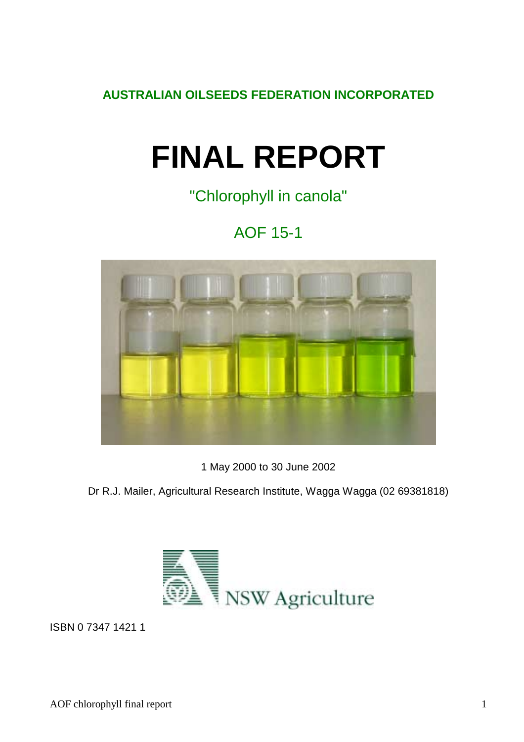**AUSTRALIAN OILSEEDS FEDERATION INCORPORATED** 

# **FINAL REPORT**

"Chlorophyll in canola"

# AOF 15-1



1 May 2000 to 30 June 2002

Dr R.J. Mailer, Agricultural Research Institute, Wagga Wagga (02 69381818)



ISBN 0 7347 1421 1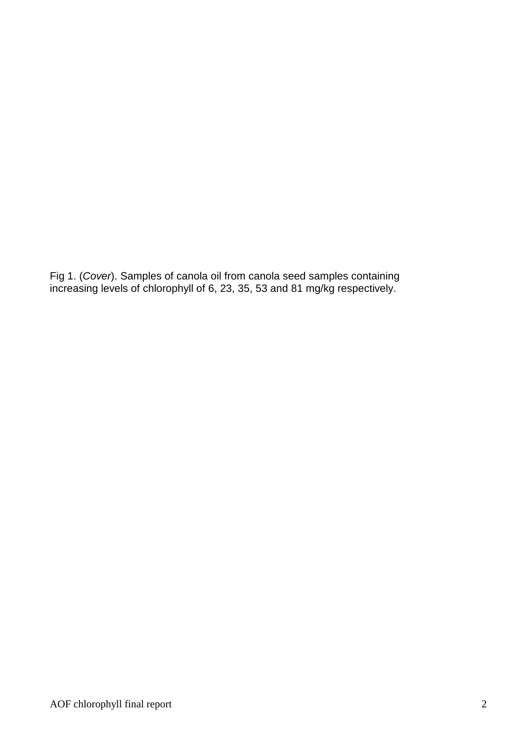Fig 1. (*Cover*). Samples of canola oil from canola seed samples containing increasing levels of chlorophyll of 6, 23, 35, 53 and 81 mg/kg respectively.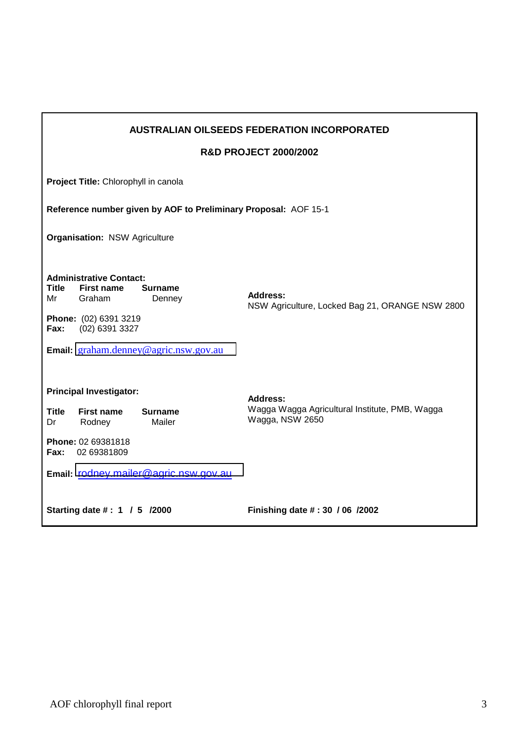|                                                                 |                                                                                                                                                                 |                                       | <b>AUSTRALIAN OILSEEDS FEDERATION INCORPORATED</b>                |  |  |  |  |  |  |  |
|-----------------------------------------------------------------|-----------------------------------------------------------------------------------------------------------------------------------------------------------------|---------------------------------------|-------------------------------------------------------------------|--|--|--|--|--|--|--|
|                                                                 |                                                                                                                                                                 |                                       | <b>R&amp;D PROJECT 2000/2002</b>                                  |  |  |  |  |  |  |  |
|                                                                 | Project Title: Chlorophyll in canola                                                                                                                            |                                       |                                                                   |  |  |  |  |  |  |  |
| Reference number given by AOF to Preliminary Proposal: AOF 15-1 |                                                                                                                                                                 |                                       |                                                                   |  |  |  |  |  |  |  |
| <b>Organisation: NSW Agriculture</b>                            |                                                                                                                                                                 |                                       |                                                                   |  |  |  |  |  |  |  |
|                                                                 |                                                                                                                                                                 |                                       |                                                                   |  |  |  |  |  |  |  |
| Title<br>Mr                                                     | <b>Administrative Contact:</b><br><b>First name</b><br><b>Surname</b><br><b>Address:</b><br>Graham<br>Denney<br>NSW Agriculture, Locked Bag 21, ORANGE NSW 2800 |                                       |                                                                   |  |  |  |  |  |  |  |
| Fax:                                                            | Phone: (02) 6391 3219<br>(02) 6391 3327                                                                                                                         |                                       |                                                                   |  |  |  |  |  |  |  |
|                                                                 |                                                                                                                                                                 | Email: graham.denney@agric.nsw.gov.au |                                                                   |  |  |  |  |  |  |  |
|                                                                 | <b>Principal Investigator:</b>                                                                                                                                  |                                       | <b>Address:</b>                                                   |  |  |  |  |  |  |  |
| <b>Title</b><br>Dr                                              | <b>First name</b><br>Rodney                                                                                                                                     | <b>Surname</b><br>Mailer              | Wagga Wagga Agricultural Institute, PMB, Wagga<br>Wagga, NSW 2650 |  |  |  |  |  |  |  |
| Fax:                                                            | Phone: 02 69381818<br>02 69381809                                                                                                                               |                                       |                                                                   |  |  |  |  |  |  |  |
|                                                                 | Email: rodney.mailer@agric.nsw.gov.au                                                                                                                           |                                       |                                                                   |  |  |  |  |  |  |  |
|                                                                 | Starting date #: 1 / 5 /2000                                                                                                                                    |                                       | Finishing date #: 30 / 06 / 2002                                  |  |  |  |  |  |  |  |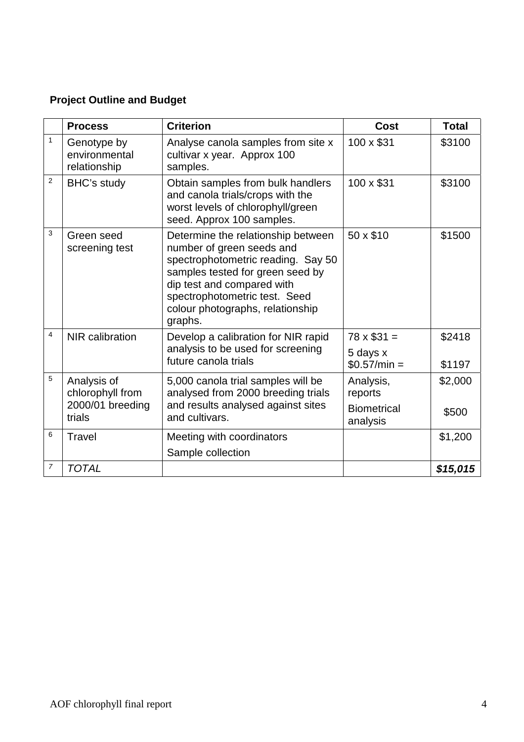# **Project Outline and Budget**

|                | <b>Process</b>                                                | <b>Criterion</b>                                                                                                                                                                                                                                        | Cost                                                   | <b>Total</b>     |
|----------------|---------------------------------------------------------------|---------------------------------------------------------------------------------------------------------------------------------------------------------------------------------------------------------------------------------------------------------|--------------------------------------------------------|------------------|
| $\mathbf{1}$   | Genotype by<br>environmental<br>relationship                  | Analyse canola samples from site x<br>cultivar x year. Approx 100<br>samples.                                                                                                                                                                           | 100 x \$31                                             | \$3100           |
| $\overline{2}$ | BHC's study                                                   | Obtain samples from bulk handlers<br>and canola trials/crops with the<br>worst levels of chlorophyll/green<br>seed. Approx 100 samples.                                                                                                                 | 100 x \$31                                             | \$3100           |
| 3              | Green seed<br>screening test                                  | Determine the relationship between<br>number of green seeds and<br>spectrophotometric reading. Say 50<br>samples tested for green seed by<br>dip test and compared with<br>spectrophotometric test. Seed<br>colour photographs, relationship<br>graphs. | 50 x \$10                                              | \$1500           |
| 4              | NIR calibration                                               | Develop a calibration for NIR rapid<br>analysis to be used for screening<br>future canola trials                                                                                                                                                        | $78 \times $31 =$<br>5 days x<br>$$0.57/min =$         | \$2418<br>\$1197 |
| 5              | Analysis of<br>chlorophyll from<br>2000/01 breeding<br>trials | 5,000 canola trial samples will be<br>analysed from 2000 breeding trials<br>and results analysed against sites<br>and cultivars.                                                                                                                        | Analysis,<br>reports<br><b>Biometrical</b><br>analysis | \$2,000<br>\$500 |
| 6              | Travel                                                        | Meeting with coordinators<br>Sample collection                                                                                                                                                                                                          |                                                        | \$1,200          |
| $\overline{7}$ | <b>TOTAL</b>                                                  |                                                                                                                                                                                                                                                         |                                                        | \$15,015         |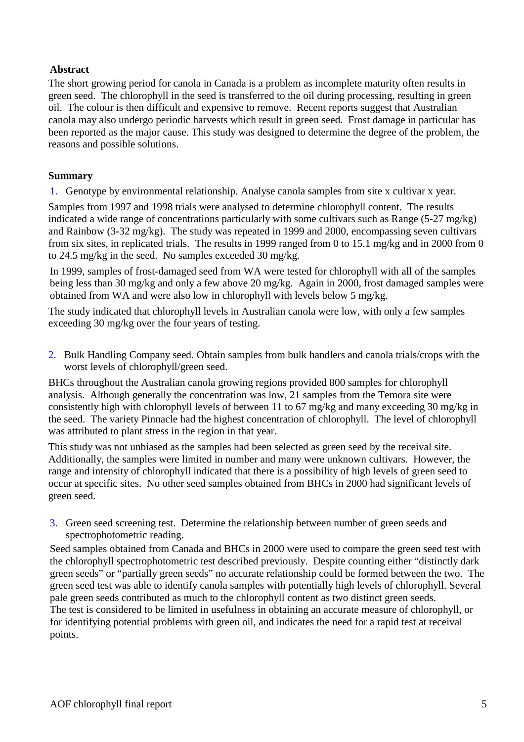# **Abstract**

The short growing period for canola in Canada is a problem as incomplete maturity often results in green seed. The chlorophyll in the seed is transferred to the oil during processing, resulting in green oil. The colour is then difficult and expensive to remove. Recent reports suggest that Australian canola may also undergo periodic harvests which result in green seed. Frost damage in particular has been reported as the major cause. This study was designed to determine the degree of the problem, the reasons and possible solutions.

# **Summary**

1. Genotype by environmental relationship. Analyse canola samples from site x cultivar x year.

Samples from 1997 and 1998 trials were analysed to determine chlorophyll content. The results indicated a wide range of concentrations particularly with some cultivars such as Range (5-27 mg/kg) and Rainbow (3-32 mg/kg). The study was repeated in 1999 and 2000, encompassing seven cultivars from six sites, in replicated trials. The results in 1999 ranged from 0 to 15.1 mg/kg and in 2000 from 0 to 24.5 mg/kg in the seed. No samples exceeded 30 mg/kg.

In 1999, samples of frost-damaged seed from WA were tested for chlorophyll with all of the samples being less than 30 mg/kg and only a few above 20 mg/kg. Again in 2000, frost damaged samples were obtained from WA and were also low in chlorophyll with levels below 5 mg/kg.

The study indicated that chlorophyll levels in Australian canola were low, with only a few samples exceeding 30 mg/kg over the four years of testing.

2. Bulk Handling Company seed. Obtain samples from bulk handlers and canola trials/crops with the worst levels of chlorophyll/green seed.

BHCs throughout the Australian canola growing regions provided 800 samples for chlorophyll analysis. Although generally the concentration was low, 21 samples from the Temora site were consistently high with chlorophyll levels of between 11 to 67 mg/kg and many exceeding 30 mg/kg in the seed. The variety Pinnacle had the highest concentration of chlorophyll. The level of chlorophyll was attributed to plant stress in the region in that year.

This study was not unbiased as the samples had been selected as green seed by the receival site. Additionally, the samples were limited in number and many were unknown cultivars. However, the range and intensity of chlorophyll indicated that there is a possibility of high levels of green seed to occur at specific sites. No other seed samples obtained from BHCs in 2000 had significant levels of green seed.

3. Green seed screening test. Determine the relationship between number of green seeds and spectrophotometric reading.

Seed samples obtained from Canada and BHCs in 2000 were used to compare the green seed test with the chlorophyll spectrophotometric test described previously. Despite counting either "distinctly dark green seeds" or "partially green seeds" no accurate relationship could be formed between the two. The green seed test was able to identify canola samples with potentially high levels of chlorophyll. Several pale green seeds contributed as much to the chlorophyll content as two distinct green seeds.

The test is considered to be limited in usefulness in obtaining an accurate measure of chlorophyll, or for identifying potential problems with green oil, and indicates the need for a rapid test at receival points.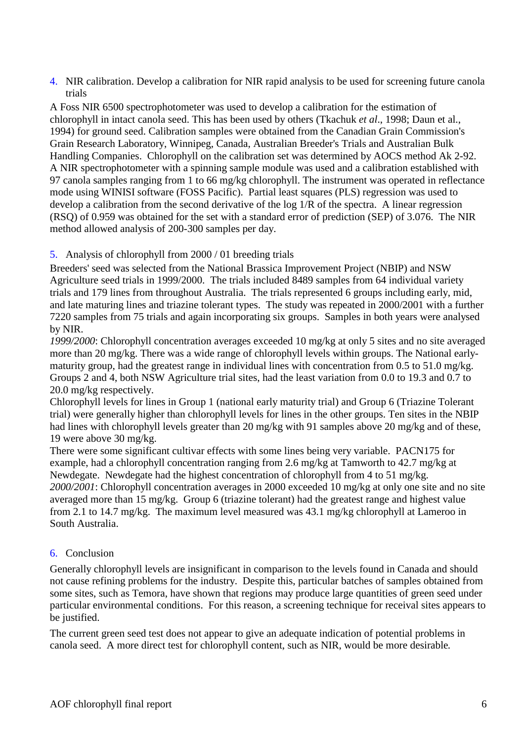4. NIR calibration. Develop a calibration for NIR rapid analysis to be used for screening future canola trials

A Foss NIR 6500 spectrophotometer was used to develop a calibration for the estimation of chlorophyll in intact canola seed. This has been used by others (Tkachuk *et al*., 1998; Daun et al., 1994) for ground seed. Calibration samples were obtained from the Canadian Grain Commission's Grain Research Laboratory, Winnipeg, Canada, Australian Breeder's Trials and Australian Bulk Handling Companies. Chlorophyll on the calibration set was determined by AOCS method Ak 2-92. A NIR spectrophotometer with a spinning sample module was used and a calibration established with 97 canola samples ranging from 1 to 66 mg/kg chlorophyll. The instrument was operated in reflectance mode using WINISI software (FOSS Pacific). Partial least squares (PLS) regression was used to develop a calibration from the second derivative of the log 1/R of the spectra. A linear regression (RSQ) of 0.959 was obtained for the set with a standard error of prediction (SEP) of 3.076. The NIR method allowed analysis of 200-300 samples per day.

# 5. Analysis of chlorophyll from 2000 / 01 breeding trials

Breeders' seed was selected from the National Brassica Improvement Project (NBIP) and NSW Agriculture seed trials in 1999/2000. The trials included 8489 samples from 64 individual variety trials and 179 lines from throughout Australia. The trials represented 6 groups including early, mid, and late maturing lines and triazine tolerant types. The study was repeated in 2000/2001 with a further 7220 samples from 75 trials and again incorporating six groups. Samples in both years were analysed by NIR.

*1999/2000*: Chlorophyll concentration averages exceeded 10 mg/kg at only 5 sites and no site averaged more than 20 mg/kg. There was a wide range of chlorophyll levels within groups. The National earlymaturity group, had the greatest range in individual lines with concentration from 0.5 to 51.0 mg/kg. Groups 2 and 4, both NSW Agriculture trial sites, had the least variation from 0.0 to 19.3 and 0.7 to 20.0 mg/kg respectively.

Chlorophyll levels for lines in Group 1 (national early maturity trial) and Group 6 (Triazine Tolerant trial) were generally higher than chlorophyll levels for lines in the other groups. Ten sites in the NBIP had lines with chlorophyll levels greater than 20 mg/kg with 91 samples above 20 mg/kg and of these, 19 were above 30 mg/kg.

There were some significant cultivar effects with some lines being very variable. PACN175 for example, had a chlorophyll concentration ranging from 2.6 mg/kg at Tamworth to 42.7 mg/kg at Newdegate. Newdegate had the highest concentration of chlorophyll from 4 to 51 mg/kg. *2000/2001*: Chlorophyll concentration averages in 2000 exceeded 10 mg/kg at only one site and no site averaged more than 15 mg/kg. Group 6 (triazine tolerant) had the greatest range and highest value from 2.1 to 14.7 mg/kg. The maximum level measured was 43.1 mg/kg chlorophyll at Lameroo in South Australia.

# 6. Conclusion

Generally chlorophyll levels are insignificant in comparison to the levels found in Canada and should not cause refining problems for the industry. Despite this, particular batches of samples obtained from some sites, such as Temora, have shown that regions may produce large quantities of green seed under particular environmental conditions. For this reason, a screening technique for receival sites appears to be justified.

The current green seed test does not appear to give an adequate indication of potential problems in canola seed. A more direct test for chlorophyll content, such as NIR, would be more desirable*.*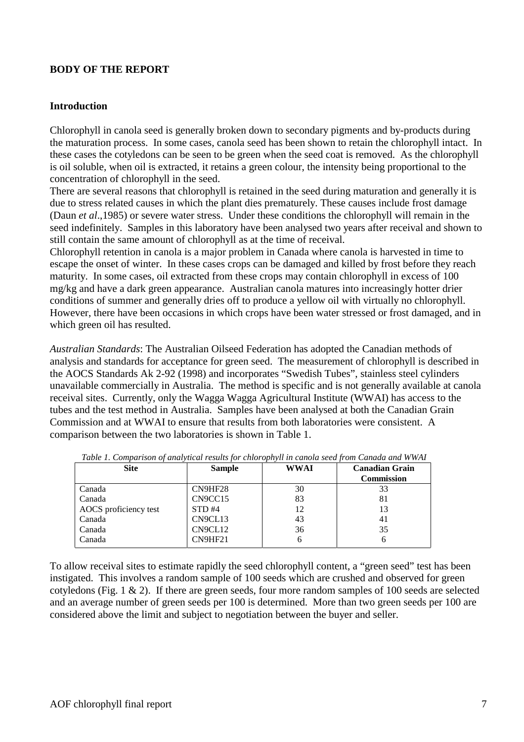# **BODY OF THE REPORT**

#### **Introduction**

Chlorophyll in canola seed is generally broken down to secondary pigments and by-products during the maturation process. In some cases, canola seed has been shown to retain the chlorophyll intact. In these cases the cotyledons can be seen to be green when the seed coat is removed. As the chlorophyll is oil soluble, when oil is extracted, it retains a green colour, the intensity being proportional to the concentration of chlorophyll in the seed.

There are several reasons that chlorophyll is retained in the seed during maturation and generally it is due to stress related causes in which the plant dies prematurely. These causes include frost damage (Daun *et al*.,1985) or severe water stress. Under these conditions the chlorophyll will remain in the seed indefinitely. Samples in this laboratory have been analysed two years after receival and shown to still contain the same amount of chlorophyll as at the time of receival.

Chlorophyll retention in canola is a major problem in Canada where canola is harvested in time to escape the onset of winter. In these cases crops can be damaged and killed by frost before they reach maturity. In some cases, oil extracted from these crops may contain chlorophyll in excess of 100 mg/kg and have a dark green appearance. Australian canola matures into increasingly hotter drier conditions of summer and generally dries off to produce a yellow oil with virtually no chlorophyll. However, there have been occasions in which crops have been water stressed or frost damaged, and in which green oil has resulted.

*Australian Standards*: The Australian Oilseed Federation has adopted the Canadian methods of analysis and standards for acceptance for green seed. The measurement of chlorophyll is described in the AOCS Standards Ak 2-92 (1998) and incorporates "Swedish Tubes", stainless steel cylinders unavailable commercially in Australia. The method is specific and is not generally available at canola receival sites. Currently, only the Wagga Wagga Agricultural Institute (WWAI) has access to the tubes and the test method in Australia. Samples have been analysed at both the Canadian Grain Commission and at WWAI to ensure that results from both laboratories were consistent. A comparison between the two laboratories is shown in Table 1.

| <b>Site</b>           | <b>Sample</b> | WWAI | <b>Canadian Grain</b><br><b>Commission</b> |
|-----------------------|---------------|------|--------------------------------------------|
| Canada                | CN9HF28       | 30   | 33                                         |
| Canada                | CN9CC15       | 83   | 81                                         |
| AOCS proficiency test | STD#4         | 12   | 13                                         |
| Canada                | CN9CL13       | 43   | 41                                         |
| Canada                | CN9CL12       | 36   | 35                                         |
| Canada                | CN9HF21       | h    |                                            |

*Table 1. Comparison of analytical results for chlorophyll in canola seed from Canada and WWAI* 

To allow receival sites to estimate rapidly the seed chlorophyll content, a "green seed" test has been instigated. This involves a random sample of 100 seeds which are crushed and observed for green cotyledons (Fig. 1 & 2). If there are green seeds, four more random samples of 100 seeds are selected and an average number of green seeds per 100 is determined. More than two green seeds per 100 are considered above the limit and subject to negotiation between the buyer and seller.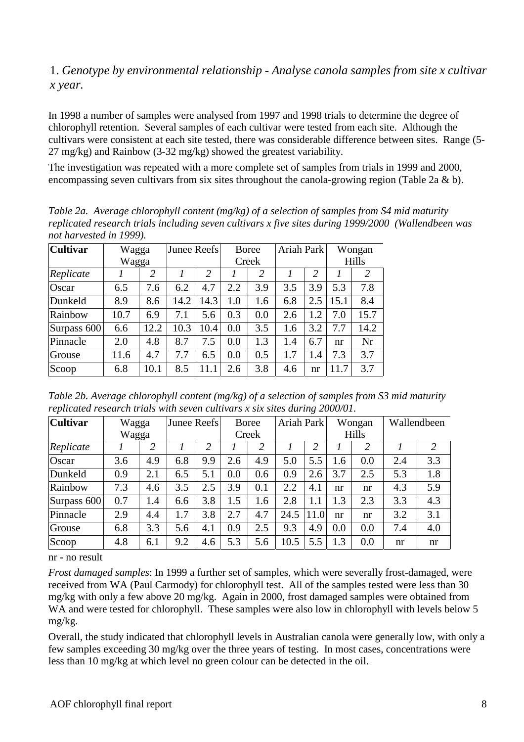# 1. *Genotype by environmental relationship - Analyse canola samples from site x cultivar x year.*

In 1998 a number of samples were analysed from 1997 and 1998 trials to determine the degree of chlorophyll retention. Several samples of each cultivar were tested from each site. Although the cultivars were consistent at each site tested, there was considerable difference between sites. Range (5- 27 mg/kg) and Rainbow (3-32 mg/kg) showed the greatest variability.

The investigation was repeated with a more complete set of samples from trials in 1999 and 2000, encompassing seven cultivars from six sites throughout the canola-growing region (Table 2a  $\&$  b).

*Table 2a. Average chlorophyll content (mg/kg) of a selection of samples from S4 mid maturity replicated research trials including seven cultivars x five sites during 1999/2000 (Wallendbeen was not harvested in 1999).* 

| <b>Cultivar</b> | Wagga |      |      | Junee Reefs    |       | <b>Boree</b>   |     | Ariah Park    |       | Wongan |  |
|-----------------|-------|------|------|----------------|-------|----------------|-----|---------------|-------|--------|--|
|                 | Wagga |      |      |                | Creek |                |     |               | Hills |        |  |
| Replicate       |       | 2    |      | $\overline{2}$ |       | $\overline{2}$ |     | $\mathcal{L}$ |       | 2      |  |
| Oscar           | 6.5   | 7.6  | 6.2  | 4.7            | 2.2   | 3.9            | 3.5 | 3.9           | 5.3   | 7.8    |  |
| Dunkeld         | 8.9   | 8.6  | 14.2 | 14.3           | 1.0   | 1.6            | 6.8 | 2.5           | 15.1  | 8.4    |  |
| Rainbow         | 10.7  | 6.9  | 7.1  | 5.6            | 0.3   | 0.0            | 2.6 | 1.2           | 7.0   | 15.7   |  |
| Surpass 600     | 6.6   | 12.2 | 10.3 | 10.4           | 0.0   | 3.5            | 1.6 | 3.2           | 7.7   | 14.2   |  |
| Pinnacle        | 2.0   | 4.8  | 8.7  | 7.5            | 0.0   | 1.3            | 1.4 | 6.7           | nr    | Nr     |  |
| Grouse          | 11.6  | 4.7  | 7.7  | 6.5            | 0.0   | 0.5            | 1.7 | 1.4           | 7.3   | 3.7    |  |
| Scoop           | 6.8   | 10.1 | 8.5  | 11.1           | 2.6   | 3.8            | 4.6 | nr            | 11.7  | 3.7    |  |

*Table 2b. Average chlorophyll content (mg/kg) of a selection of samples from S3 mid maturity replicated research trials with seven cultivars x six sites during 2000/01.* 

| <b>Cultivar</b> | Wagga |                | Junee Reefs |     |       | <b>Boree</b> |      | Ariah Park     |       | Wongan |     | Wallendbeen    |  |
|-----------------|-------|----------------|-------------|-----|-------|--------------|------|----------------|-------|--------|-----|----------------|--|
|                 | Wagga |                |             |     | Creek |              |      |                | Hills |        |     |                |  |
| Replicate       |       | $\overline{2}$ |             | 2   |       | 2            |      | $\overline{2}$ |       | 2      |     | $\overline{2}$ |  |
| Oscar           | 3.6   | 4.9            | 6.8         | 9.9 | 2.6   | 4.9          | 5.0  | 5.5            | 1.6   | 0.0    | 2.4 | 3.3            |  |
| Dunkeld         | 0.9   | 2.1            | 6.5         | 5.1 | 0.0   | 0.6          | 0.9  | 2.6            | 3.7   | 2.5    | 5.3 | 1.8            |  |
| Rainbow         | 7.3   | 4.6            | 3.5         | 2.5 | 3.9   | 0.1          | 2.2  | 4.1            | nr    | nr     | 4.3 | 5.9            |  |
| Surpass 600     | 0.7   | 1.4            | 6.6         | 3.8 | 1.5   | 1.6          | 2.8  | 1.1            | 1.3   | 2.3    | 3.3 | 4.3            |  |
| Pinnacle        | 2.9   | 4.4            | 1.7         | 3.8 | 2.7   | 4.7          | 24.5 | 11.0           | nr    | nr     | 3.2 | 3.1            |  |
| Grouse          | 6.8   | 3.3            | 5.6         | 4.1 | 0.9   | 2.5          | 9.3  | 4.9            | 0.0   | 0.0    | 7.4 | 4.0            |  |
| Scoop           | 4.8   | 6.1            | 9.2         | 4.6 | 5.3   | 5.6          | 10.5 | 5.5            | 1.3   | 0.0    | nr  | nr             |  |

nr - no result

*Frost damaged samples*: In 1999 a further set of samples, which were severally frost-damaged, were received from WA (Paul Carmody) for chlorophyll test. All of the samples tested were less than 30 mg/kg with only a few above 20 mg/kg. Again in 2000, frost damaged samples were obtained from WA and were tested for chlorophyll. These samples were also low in chlorophyll with levels below 5 mg/kg.

Overall, the study indicated that chlorophyll levels in Australian canola were generally low, with only a few samples exceeding 30 mg/kg over the three years of testing. In most cases, concentrations were less than 10 mg/kg at which level no green colour can be detected in the oil.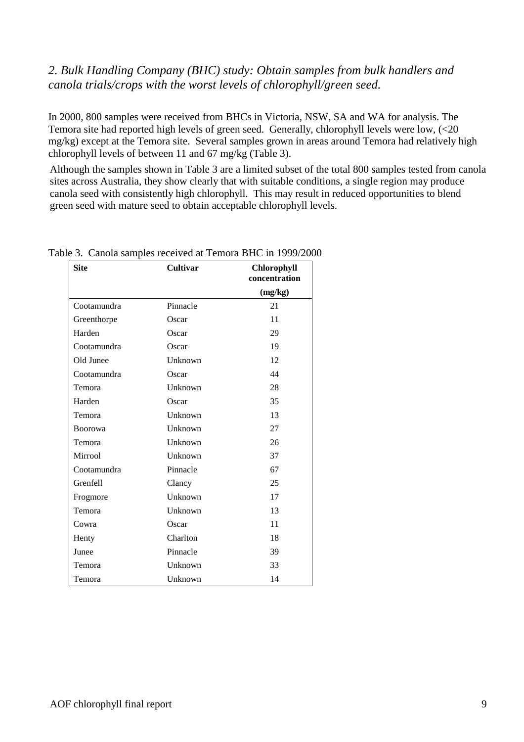# *2. Bulk Handling Company (BHC) study: Obtain samples from bulk handlers and canola trials/crops with the worst levels of chlorophyll/green seed.*

In 2000, 800 samples were received from BHCs in Victoria, NSW, SA and WA for analysis. The Temora site had reported high levels of green seed. Generally, chlorophyll levels were low, (<20 mg/kg) except at the Temora site. Several samples grown in areas around Temora had relatively high chlorophyll levels of between 11 and 67 mg/kg (Table 3).

Although the samples shown in Table 3 are a limited subset of the total 800 samples tested from canola sites across Australia, they show clearly that with suitable conditions, a single region may produce canola seed with consistently high chlorophyll. This may result in reduced opportunities to blend green seed with mature seed to obtain acceptable chlorophyll levels.

| <b>Site</b>    | <b>Cultivar</b> | <b>Chlorophyll</b><br>concentration |
|----------------|-----------------|-------------------------------------|
|                |                 | (mg/kg)                             |
| Cootamundra    | Pinnacle        | 21                                  |
| Greenthorpe    | Oscar           | 11                                  |
| Harden         | Oscar           | 29                                  |
| Cootamundra    | Oscar           | 19                                  |
| Old Junee      | Unknown         | 12                                  |
| Cootamundra    | Oscar           | 44                                  |
| Temora         | Unknown         | 28                                  |
| Harden         | Oscar           | 35                                  |
| Temora         | Unknown         | 13                                  |
| <b>Boorowa</b> | Unknown         | 27                                  |
| Temora         | Unknown         | 26                                  |
| Mirrool        | Unknown         | 37                                  |
| Cootamundra    | Pinnacle        | 67                                  |
| Grenfell       | Clancy          | 25                                  |
| Frogmore       | Unknown         | 17                                  |
| Temora         | Unknown         | 13                                  |
| Cowra          | Oscar           | 11                                  |
| Henty          | Charlton        | 18                                  |
| Junee          | Pinnacle        | 39                                  |
| Temora         | Unknown         | 33                                  |
| Temora         | Unknown         | 14                                  |

Table 3. Canola samples received at Temora BHC in 1999/2000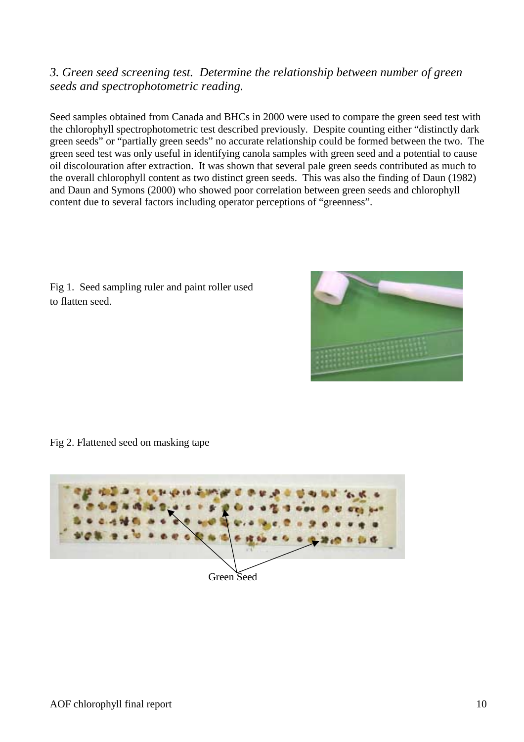# *3. Green seed screening test. Determine the relationship between number of green seeds and spectrophotometric reading.*

Seed samples obtained from Canada and BHCs in 2000 were used to compare the green seed test with the chlorophyll spectrophotometric test described previously. Despite counting either "distinctly dark green seeds" or "partially green seeds" no accurate relationship could be formed between the two. The green seed test was only useful in identifying canola samples with green seed and a potential to cause oil discolouration after extraction. It was shown that several pale green seeds contributed as much to the overall chlorophyll content as two distinct green seeds. This was also the finding of Daun (1982) and Daun and Symons (2000) who showed poor correlation between green seeds and chlorophyll content due to several factors including operator perceptions of "greenness".

Fig 1. Seed sampling ruler and paint roller used to flatten seed.



Fig 2. Flattened seed on masking tape

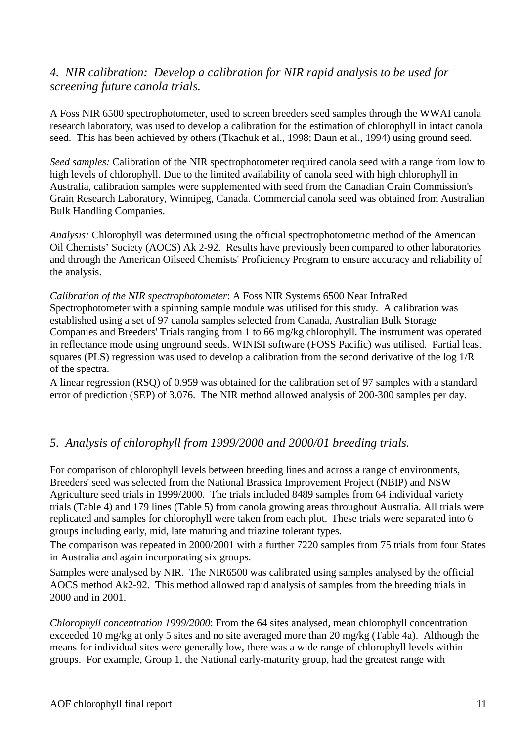# *4. NIR calibration: Develop a calibration for NIR rapid analysis to be used for screening future canola trials.*

A Foss NIR 6500 spectrophotometer, used to screen breeders seed samples through the WWAI canola research laboratory, was used to develop a calibration for the estimation of chlorophyll in intact canola seed. This has been achieved by others (Tkachuk et al., 1998; Daun et al., 1994) using ground seed.

*Seed samples:* Calibration of the NIR spectrophotometer required canola seed with a range from low to high levels of chlorophyll. Due to the limited availability of canola seed with high chlorophyll in Australia, calibration samples were supplemented with seed from the Canadian Grain Commission's Grain Research Laboratory, Winnipeg, Canada. Commercial canola seed was obtained from Australian Bulk Handling Companies.

*Analysis:* Chlorophyll was determined using the official spectrophotometric method of the American Oil Chemists' Society (AOCS) Ak 2-92. Results have previously been compared to other laboratories and through the American Oilseed Chemists' Proficiency Program to ensure accuracy and reliability of the analysis.

*Calibration of the NIR spectrophotometer*: A Foss NIR Systems 6500 Near InfraRed Spectrophotometer with a spinning sample module was utilised for this study. A calibration was established using a set of 97 canola samples selected from Canada, Australian Bulk Storage Companies and Breeders' Trials ranging from 1 to 66 mg/kg chlorophyll. The instrument was operated in reflectance mode using unground seeds. WINISI software (FOSS Pacific) was utilised. Partial least squares (PLS) regression was used to develop a calibration from the second derivative of the log 1/R of the spectra.

A linear regression (RSQ) of 0.959 was obtained for the calibration set of 97 samples with a standard error of prediction (SEP) of 3.076. The NIR method allowed analysis of 200-300 samples per day.

# *5. Analysis of chlorophyll from 1999/2000 and 2000/01 breeding trials.*

For comparison of chlorophyll levels between breeding lines and across a range of environments, Breeders' seed was selected from the National Brassica Improvement Project (NBIP) and NSW Agriculture seed trials in 1999/2000. The trials included 8489 samples from 64 individual variety trials (Table 4) and 179 lines (Table 5) from canola growing areas throughout Australia. All trials were replicated and samples for chlorophyll were taken from each plot.These trials were separated into 6 groups including early, mid, late maturing and triazine tolerant types.

The comparison was repeated in 2000/2001 with a further 7220 samples from 75 trials from four States in Australia and again incorporating six groups.

Samples were analysed by NIR. The NIR6500 was calibrated using samples analysed by the official AOCS method Ak2-92. This method allowed rapid analysis of samples from the breeding trials in 2000 and in 2001.

*Chlorophyll concentration 1999/2000*: From the 64 sites analysed, mean chlorophyll concentration exceeded 10 mg/kg at only 5 sites and no site averaged more than 20 mg/kg (Table 4a). Although the means for individual sites were generally low, there was a wide range of chlorophyll levels within groups. For example, Group 1, the National early-maturity group, had the greatest range with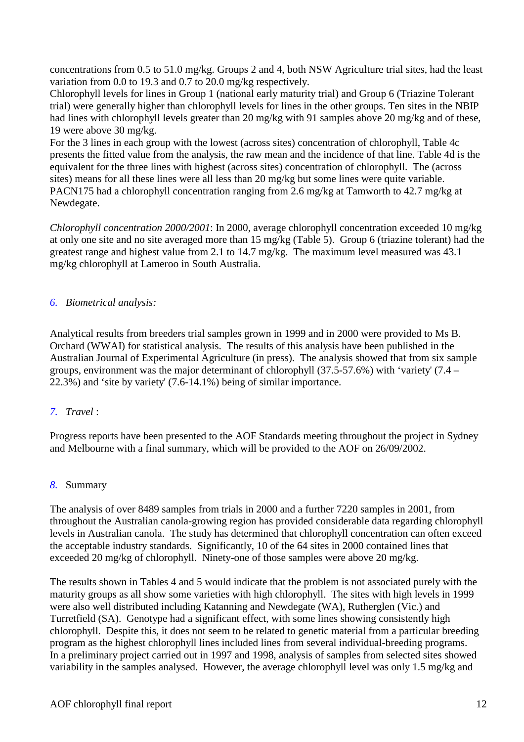concentrations from 0.5 to 51.0 mg/kg. Groups 2 and 4, both NSW Agriculture trial sites, had the least variation from 0.0 to 19.3 and 0.7 to 20.0 mg/kg respectively.

Chlorophyll levels for lines in Group 1 (national early maturity trial) and Group 6 (Triazine Tolerant trial) were generally higher than chlorophyll levels for lines in the other groups. Ten sites in the NBIP had lines with chlorophyll levels greater than 20 mg/kg with 91 samples above 20 mg/kg and of these, 19 were above 30 mg/kg.

For the 3 lines in each group with the lowest (across sites) concentration of chlorophyll, Table 4c presents the fitted value from the analysis, the raw mean and the incidence of that line. Table 4d is the equivalent for the three lines with highest (across sites) concentration of chlorophyll. The (across sites) means for all these lines were all less than 20 mg/kg but some lines were quite variable. PACN175 had a chlorophyll concentration ranging from 2.6 mg/kg at Tamworth to 42.7 mg/kg at Newdegate.

*Chlorophyll concentration 2000/2001*: In 2000, average chlorophyll concentration exceeded 10 mg/kg at only one site and no site averaged more than 15 mg/kg (Table 5). Group 6 (triazine tolerant) had the greatest range and highest value from 2.1 to 14.7 mg/kg. The maximum level measured was 43.1 mg/kg chlorophyll at Lameroo in South Australia.

# *6. Biometrical analysis:*

Analytical results from breeders trial samples grown in 1999 and in 2000 were provided to Ms B. Orchard (WWAI) for statistical analysis. The results of this analysis have been published in the Australian Journal of Experimental Agriculture (in press). The analysis showed that from six sample groups, environment was the major determinant of chlorophyll (37.5-57.6%) with 'variety' (7.4 – 22.3%) and 'site by variety' (7.6-14.1%) being of similar importance.

# *7. Travel* :

Progress reports have been presented to the AOF Standards meeting throughout the project in Sydney and Melbourne with a final summary, which will be provided to the AOF on 26/09/2002.

# *8.* Summary

The analysis of over 8489 samples from trials in 2000 and a further 7220 samples in 2001, from throughout the Australian canola-growing region has provided considerable data regarding chlorophyll levels in Australian canola. The study has determined that chlorophyll concentration can often exceed the acceptable industry standards. Significantly, 10 of the 64 sites in 2000 contained lines that exceeded 20 mg/kg of chlorophyll. Ninety-one of those samples were above 20 mg/kg.

The results shown in Tables 4 and 5 would indicate that the problem is not associated purely with the maturity groups as all show some varieties with high chlorophyll. The sites with high levels in 1999 were also well distributed including Katanning and Newdegate (WA), Rutherglen (Vic.) and Turretfield (SA). Genotype had a significant effect, with some lines showing consistently high chlorophyll. Despite this, it does not seem to be related to genetic material from a particular breeding program as the highest chlorophyll lines included lines from several individual-breeding programs. In a preliminary project carried out in 1997 and 1998, analysis of samples from selected sites showed variability in the samples analysed. However, the average chlorophyll level was only 1.5 mg/kg and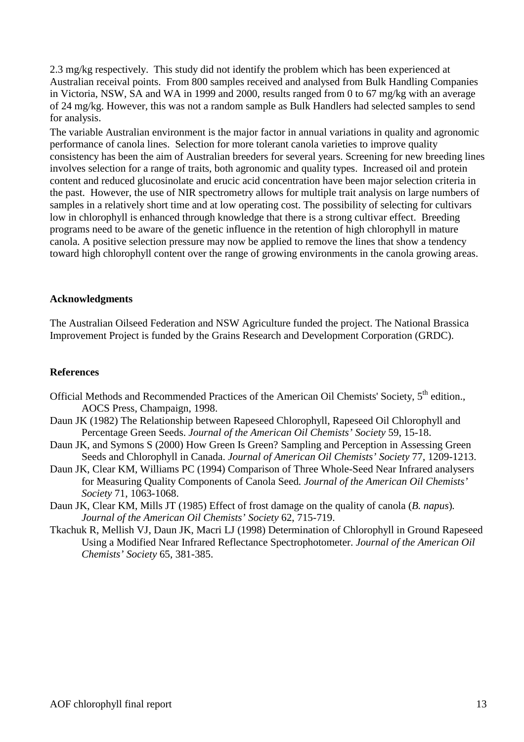2.3 mg/kg respectively. This study did not identify the problem which has been experienced at Australian receival points. From 800 samples received and analysed from Bulk Handling Companies in Victoria, NSW, SA and WA in 1999 and 2000, results ranged from 0 to 67 mg/kg with an average of 24 mg/kg. However, this was not a random sample as Bulk Handlers had selected samples to send for analysis.

The variable Australian environment is the major factor in annual variations in quality and agronomic performance of canola lines. Selection for more tolerant canola varieties to improve quality consistency has been the aim of Australian breeders for several years. Screening for new breeding lines involves selection for a range of traits, both agronomic and quality types. Increased oil and protein content and reduced glucosinolate and erucic acid concentration have been major selection criteria in the past. However, the use of NIR spectrometry allows for multiple trait analysis on large numbers of samples in a relatively short time and at low operating cost. The possibility of selecting for cultivars low in chlorophyll is enhanced through knowledge that there is a strong cultivar effect. Breeding programs need to be aware of the genetic influence in the retention of high chlorophyll in mature canola. A positive selection pressure may now be applied to remove the lines that show a tendency toward high chlorophyll content over the range of growing environments in the canola growing areas.

#### **Acknowledgments**

The Australian Oilseed Federation and NSW Agriculture funded the project. The National Brassica Improvement Project is funded by the Grains Research and Development Corporation (GRDC).

# **References**

- Official Methods and Recommended Practices of the American Oil Chemists' Society, 5<sup>th</sup> edition., AOCS Press, Champaign, 1998.
- Daun JK (1982) The Relationship between Rapeseed Chlorophyll, Rapeseed Oil Chlorophyll and Percentage Green Seeds. *Journal of the American Oil Chemists' Society* 59, 15-18.
- Daun JK, and Symons S (2000) How Green Is Green? Sampling and Perception in Assessing Green Seeds and Chlorophyll in Canada. *Journal of American Oil Chemists' Society* 77, 1209-1213.
- Daun JK, Clear KM, Williams PC (1994) Comparison of Three Whole-Seed Near Infrared analysers for Measuring Quality Components of Canola Seed*. Journal of the American Oil Chemists' Society* 71, 1063-1068.
- Daun JK, Clear KM, Mills JT (1985) Effect of frost damage on the quality of canola (*B. napus*)*. Journal of the American Oil Chemists' Society* 62, 715-719.
- Tkachuk R, Mellish VJ, Daun JK, Macri LJ (1998) Determination of Chlorophyll in Ground Rapeseed Using a Modified Near Infrared Reflectance Spectrophotometer. *Journal of the American Oil Chemists' Society* 65, 381-385.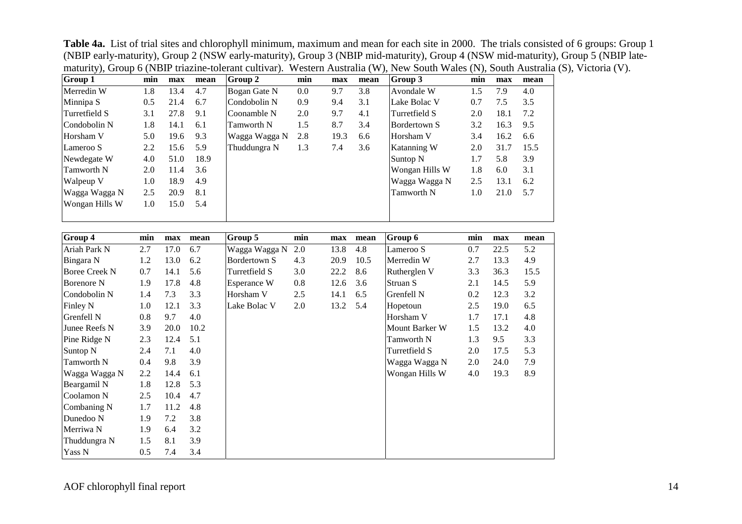| Group 1               | min | max  | mean | Group 2             | min     | max  | mean | Group 3               | min | max  | mean |
|-----------------------|-----|------|------|---------------------|---------|------|------|-----------------------|-----|------|------|
| Merredin W            | 1.8 | 13.4 | 4.7  | Bogan Gate N        | $0.0\,$ | 9.7  | 3.8  | Avondale W            | 1.5 | 7.9  | 4.0  |
| Minnipa S             | 0.5 | 21.4 | 6.7  | Condobolin N        | 0.9     | 9.4  | 3.1  | Lake Bolac V          | 0.7 | 7.5  | 3.5  |
| Turretfield S         | 3.1 | 27.8 | 9.1  | Coonamble N         | 2.0     | 9.7  | 4.1  | Turretfield S         | 2.0 | 18.1 | 7.2  |
| Condobolin N          | 1.8 | 14.1 | 6.1  | <b>Tamworth N</b>   | 1.5     | 8.7  | 3.4  | <b>Bordertown S</b>   | 3.2 | 16.3 | 9.5  |
| Horsham V             | 5.0 | 19.6 | 9.3  | Wagga Wagga N       | 2.8     | 19.3 | 6.6  | Horsham V             | 3.4 | 16.2 | 6.6  |
| Lameroo S             | 2.2 | 15.6 | 5.9  | Thuddungra N        | 1.3     | 7.4  | 3.6  | Katanning W           | 2.0 | 31.7 | 15.5 |
| Newdegate W           | 4.0 | 51.0 | 18.9 |                     |         |      |      | Suntop <sub>N</sub>   | 1.7 | 5.8  | 3.9  |
| Tamworth <sub>N</sub> | 2.0 | 11.4 | 3.6  |                     |         |      |      | Wongan Hills W        | 1.8 | 6.0  | 3.1  |
| Walpeup V             | 1.0 | 18.9 | 4.9  |                     |         |      |      | Wagga Wagga N         | 2.5 | 13.1 | 6.2  |
| Wagga Wagga N         | 2.5 | 20.9 | 8.1  |                     |         |      |      | Tamworth <sub>N</sub> | 1.0 | 21.0 | 5.7  |
| Wongan Hills W        | 1.0 | 15.0 | 5.4  |                     |         |      |      |                       |     |      |      |
|                       |     |      |      |                     |         |      |      |                       |     |      |      |
|                       |     |      |      |                     |         |      |      |                       |     |      |      |
| Group 4               | min | max  | mean | Group 5             | min     | max  | mean | Group 6               | min | max  | mean |
| Ariah Park N          | 2.7 | 17.0 | 6.7  | Wagga Wagga N       | 2.0     | 13.8 | 4.8  | Lameroo S             | 0.7 | 22.5 | 5.2  |
| Bingara N             | 1.2 | 13.0 | 6.2  | <b>Bordertown S</b> | 4.3     | 20.9 | 10.5 | Merredin W            | 2.7 | 13.3 | 4.9  |
| <b>Boree Creek N</b>  | 0.7 | 14.1 | 5.6  | Turretfield S       | 3.0     | 22.2 | 8.6  | Rutherglen V          | 3.3 | 36.3 | 15.5 |
| <b>Borenore N</b>     | 1.9 | 17.8 | 4.8  | Esperance W         | $0.8\,$ | 12.6 | 3.6  | Struan S              | 2.1 | 14.5 | 5.9  |
| Condobolin N          | 1.4 | 7.3  | 3.3  | Horsham V           | 2.5     | 14.1 | 6.5  | Grenfell N            | 0.2 | 12.3 | 3.2  |
| Finley N              | 1.0 | 12.1 | 3.3  | Lake Bolac V        | $2.0\,$ | 13.2 | 5.4  | Hopetoun              | 2.5 | 19.0 | 6.5  |
| Grenfell N            | 0.8 | 9.7  | 4.0  |                     |         |      |      | Horsham V             | 1.7 | 17.1 | 4.8  |
| Junee Reefs N         | 3.9 | 20.0 | 10.2 |                     |         |      |      | Mount Barker W        | 1.5 | 13.2 | 4.0  |
| Pine Ridge N          | 2.3 | 12.4 | 5.1  |                     |         |      |      | Tamworth N            | 1.3 | 9.5  | 3.3  |
| Suntop <sub>N</sub>   | 2.4 | 7.1  | 4.0  |                     |         |      |      | Turretfield S         | 2.0 | 17.5 | 5.3  |
| Tamworth <sub>N</sub> | 0.4 | 9.8  | 3.9  |                     |         |      |      | Wagga Wagga N         | 2.0 | 24.0 | 7.9  |
| Wagga Wagga N         | 2.2 | 14.4 | 6.1  |                     |         |      |      | Wongan Hills W        | 4.0 | 19.3 | 8.9  |
| Beargamil N           | 1.8 | 12.8 | 5.3  |                     |         |      |      |                       |     |      |      |
| Coolamon N            | 2.5 | 10.4 | 4.7  |                     |         |      |      |                       |     |      |      |
| Combaning N           | 1.7 | 11.2 | 4.8  |                     |         |      |      |                       |     |      |      |
| Dunedoo N             | 1.9 | 7.2  | 3.8  |                     |         |      |      |                       |     |      |      |
| Merriwa N             | 1.9 | 6.4  | 3.2  |                     |         |      |      |                       |     |      |      |
| Thuddungra N          | 1.5 | 8.1  | 3.9  |                     |         |      |      |                       |     |      |      |
| Yass N                | 0.5 | 7.4  | 3.4  |                     |         |      |      |                       |     |      |      |

**Table 4a.** List of trial sites and chlorophyll minimum, maximum and mean for each site in 2000. The trials consisted of 6 groups: Group 1 (NBIP early-maturity), Group 2 (NSW early-maturity), Group 3 (NBIP mid-maturity), Group 4 (NSW mid-maturity), Group 5 (NBIP latematurity), Group 6 (NBIP triazine-tolerant cultivar). Western Australia (W), New South Wales (N), South Australia (S), Victoria (V).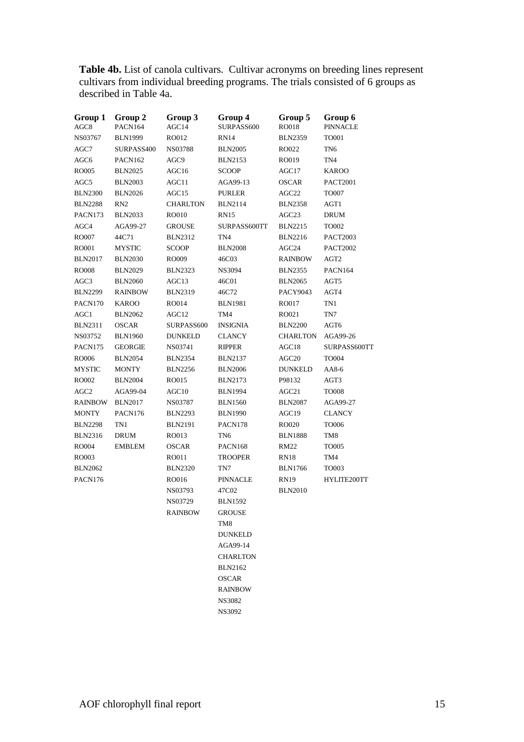**Table 4b.** List of canola cultivars. Cultivar acronyms on breeding lines represent cultivars from individual breeding programs. The trials consisted of 6 groups as described in Table 4a.

| Group 1<br>AGC <sub>8</sub> | Group 2<br>PACN164 | Group 3<br>AGC14 | Group 4<br>SURPASS600 | Group 5<br><b>RO018</b> | Group 6<br><b>PINNACLE</b> |
|-----------------------------|--------------------|------------------|-----------------------|-------------------------|----------------------------|
| NS03767                     | <b>BLN1999</b>     | RO012            | <b>RN14</b>           | <b>BLN2359</b>          | TO001                      |
| AGC7                        | SURPASS400         | NS03788          | <b>BLN2005</b>        | RO022                   | TN <sub>6</sub>            |
| AGC6                        | PACN162            | AGC9             | <b>BLN2153</b>        | RO019                   | TN4                        |
| <b>RO005</b>                | <b>BLN2025</b>     | AGC16            | <b>SCOOP</b>          | AGC17                   | <b>KAROO</b>               |
| AGC5                        | <b>BLN2003</b>     | AGC11            | AGA99-13              | <b>OSCAR</b>            | <b>PACT2001</b>            |
| <b>BLN2300</b>              | <b>BLN2026</b>     | AGC15            | <b>PURLER</b>         | AGC <sub>22</sub>       | <b>TO007</b>               |
| <b>BLN2288</b>              | RN2                | <b>CHARLTON</b>  | <b>BLN2114</b>        | <b>BLN2358</b>          | AGT1                       |
| PACN173                     | <b>BLN2033</b>     | RO010            | <b>RN15</b>           | AGC23                   | <b>DRUM</b>                |
| AGC4                        | AGA99-27           | <b>GROUSE</b>    | SURPASS600TT          | <b>BLN2215</b>          | TO002                      |
| <b>RO007</b>                | 44C71              | <b>BLN2312</b>   | TN <sub>4</sub>       | <b>BLN2216</b>          | <b>PACT2003</b>            |
| RO001                       | <b>MYSTIC</b>      | <b>SCOOP</b>     | <b>BLN2008</b>        | AGC24                   | <b>PACT2002</b>            |
| <b>BLN2017</b>              | <b>BLN2030</b>     | RO009            | 46C03                 | <b>RAINBOW</b>          | AGT2                       |
| <b>RO008</b>                | <b>BLN2029</b>     | <b>BLN2323</b>   | <b>NS3094</b>         | <b>BLN2355</b>          | PACN164                    |
| AGC3                        | <b>BLN2060</b>     | AGC13            | 46C01                 | <b>BLN2065</b>          | AGT5                       |
| <b>BLN2299</b>              | <b>RAINBOW</b>     | <b>BLN2319</b>   | 46C72                 | PACY9043                | AGT4                       |
| PACN170                     | <b>KAROO</b>       | RO014            | <b>BLN1981</b>        | RO017                   | TN1                        |
| AGC1                        | <b>BLN2062</b>     | AGC12            | TM4                   | RO021                   | TN7                        |
| <b>BLN2311</b>              | <b>OSCAR</b>       | SURPASS600       | <b>INSIGNIA</b>       | <b>BLN2200</b>          | AGT6                       |
| NS03752                     | <b>BLN1960</b>     | <b>DUNKELD</b>   | <b>CLANCY</b>         | <b>CHARLTON</b>         | AGA99-26                   |
| PACN175                     | <b>GEORGIE</b>     | NS03741          | <b>RIPPER</b>         | AGC18                   | SURPASS600TT               |
| <b>RO006</b>                | <b>BLN2054</b>     | <b>BLN2354</b>   | <b>BLN2137</b>        | AGC <sub>20</sub>       | <b>TO004</b>               |
| <b>MYSTIC</b>               | <b>MONTY</b>       | <b>BLN2256</b>   | <b>BLN2006</b>        | <b>DUNKELD</b>          | AA8-6                      |
| RO002                       | <b>BLN2004</b>     | RO015            | <b>BLN2173</b>        | P98132                  | AGT3                       |
| AGC <sub>2</sub>            | AGA99-04           | AGC10            | <b>BLN1994</b>        | AGC21                   | <b>TO008</b>               |
| <b>RAINBOW</b>              | <b>BLN2017</b>     | NS03787          | <b>BLN1560</b>        | <b>BLN2087</b>          | AGA99-27                   |
| <b>MONTY</b>                | PACN176            | <b>BLN2293</b>   | <b>BLN1990</b>        | AGC19                   | <b>CLANCY</b>              |
| <b>BLN2298</b>              | TN1                | <b>BLN2191</b>   | PACN178               | RO020                   | <b>TO006</b>               |
| <b>BLN2316</b>              | <b>DRUM</b>        | RO013            | TN <sub>6</sub>       | <b>BLN1888</b>          | TM8                        |
| RO004                       | <b>EMBLEM</b>      | <b>OSCAR</b>     | PACN168               | <b>RM22</b>             | <b>TO005</b>               |
| RO003                       |                    | RO011            | <b>TROOPER</b>        | <b>RN18</b>             | TM4                        |
| <b>BLN2062</b>              |                    | <b>BLN2320</b>   | TN7                   | <b>BLN1766</b>          | TO003                      |
| PACN176                     |                    | RO016            | <b>PINNACLE</b>       | RN19                    | HYLITE200TT                |
|                             |                    | NS03793          | 47C02                 | <b>BLN2010</b>          |                            |
|                             |                    | NS03729          | <b>BLN1592</b>        |                         |                            |
|                             |                    | <b>RAINBOW</b>   | <b>GROUSE</b>         |                         |                            |
|                             |                    |                  | TM8                   |                         |                            |
|                             |                    |                  | <b>DUNKELD</b>        |                         |                            |
|                             |                    |                  | AGA99-14              |                         |                            |
|                             |                    |                  | <b>CHARLTON</b>       |                         |                            |
|                             |                    |                  | <b>BLN2162</b>        |                         |                            |
|                             |                    |                  | <b>OSCAR</b>          |                         |                            |
|                             |                    |                  | <b>RAINBOW</b>        |                         |                            |
|                             |                    |                  | NS3082                |                         |                            |

NS3092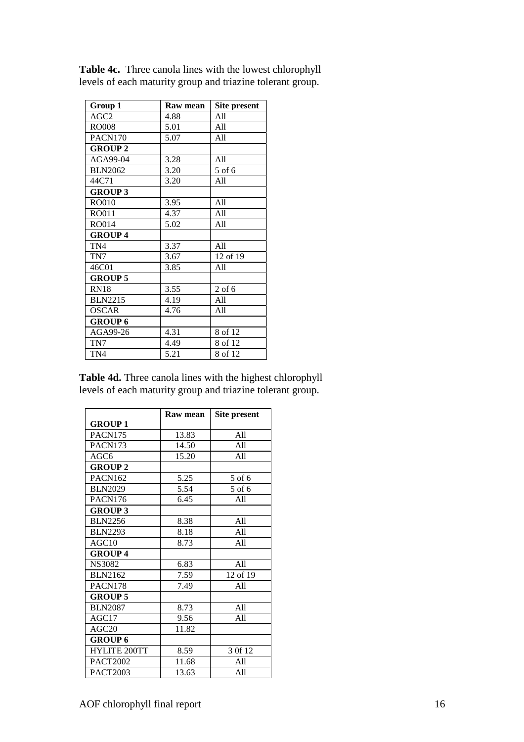| Group 1          | Raw mean | <b>Site present</b> |
|------------------|----------|---------------------|
| AGC <sub>2</sub> | 4.88     | A11                 |
| <b>RO008</b>     | 5.01     | All                 |
| PACN170          | 5.07     | A11                 |
| <b>GROUP 2</b>   |          |                     |
| AGA99-04         | 3.28     | All                 |
| <b>BLN2062</b>   | 3.20     | 5 of 6              |
| 44C71            | 3.20     | All                 |
| <b>GROUP 3</b>   |          |                     |
| <b>RO010</b>     | 3.95     | All                 |
| RO011            | 4.37     | All                 |
| RO014            | 5.02     | A11                 |
| <b>GROUP4</b>    |          |                     |
| TN4              | 3.37     | A11                 |
| TN7              | 3.67     | 12 of 19            |
| 46C01            | 3.85     | A11                 |
| <b>GROUP 5</b>   |          |                     |
| <b>RN18</b>      | 3.55     | $2$ of 6            |
| <b>BLN2215</b>   | 4.19     | All                 |
| <b>OSCAR</b>     | 4.76     | A11                 |
| <b>GROUP 6</b>   |          |                     |
| AGA99-26         | 4.31     | 8 of 12             |
| TN7              | 4.49     | 8 of 12             |
| TN4              | 5.21     | 8 of 12             |

**Table 4c.** Three canola lines with the lowest chlorophyll levels of each maturity group and triazine tolerant group.

**Table 4d.** Three canola lines with the highest chlorophyll levels of each maturity group and triazine tolerant group.

|                     | Raw mean | Site present |
|---------------------|----------|--------------|
| <b>GROUP1</b>       |          |              |
| <b>PACN175</b>      | 13.83    | A11          |
| PACN173             | 14.50    | A11          |
| AGC6                | 15.20    | A11          |
| <b>GROUP 2</b>      |          |              |
| PACN162             | 5.25     | 5 of 6       |
| <b>BLN2029</b>      | 5.54     | $5$ of 6     |
| PACN176             | 6.45     | A11          |
| <b>GROUP 3</b>      |          |              |
| <b>BLN2256</b>      | 8.38     | A11          |
| <b>BLN2293</b>      | 8.18     | A11          |
| AGC10               | 8.73     | A11          |
| <b>GROUP4</b>       |          |              |
| <b>NS3082</b>       | 6.83     | A11          |
| <b>BLN2162</b>      | 7.59     | 12 of 19     |
| PACN178             | 7.49     | All          |
| <b>GROUP 5</b>      |          |              |
| <b>BLN2087</b>      | 8.73     | A11          |
| AGC17               | 9.56     | A11          |
| AGC20               | 11.82    |              |
| <b>GROUP 6</b>      |          |              |
| <b>HYLITE 200TT</b> | 8.59     | 3 Of 12      |
| <b>PACT2002</b>     | 11.68    | A11          |
| <b>PACT2003</b>     | 13.63    | A11          |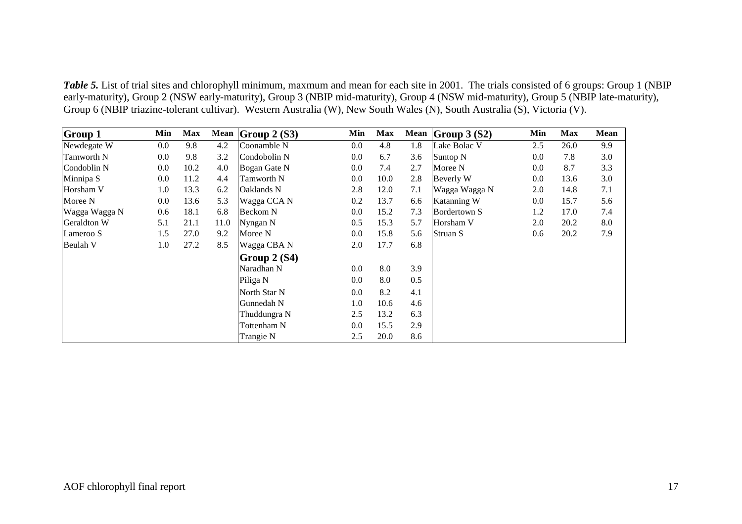*Table 5*. List of trial sites and chlorophyll minimum, maxmum and mean for each site in 2001. The trials consisted of 6 groups: Group 1 (NBIP early-maturity), Group 2 (NSW early-maturity), Group 3 (NBIP mid-maturity), Group 4 (NSW mid-maturity), Group 5 (NBIP late-maturity), Group 6 (NBIP triazine-tolerant cultivar). Western Australia (W), New South Wales (N), South Australia (S), Victoria (V).

| <b>Group 1</b> | Min | <b>Max</b> | Mean | Group $2(S3)$ | Min     | <b>Max</b> | Mean | Group $3(S2)$ | Min | <b>Max</b> | Mean |
|----------------|-----|------------|------|---------------|---------|------------|------|---------------|-----|------------|------|
| Newdegate W    | 0.0 | 9.8        | 4.2  | Coonamble N   | $0.0\,$ | 4.8        | 1.8  | Lake Bolac V  | 2.5 | 26.0       | 9.9  |
| Tamworth N     | 0.0 | 9.8        | 3.2  | Condobolin N  | $0.0\,$ | 6.7        | 3.6  | Suntop N      | 0.0 | 7.8        | 3.0  |
| Condoblin N    | 0.0 | 10.2       | 4.0  | Bogan Gate N  | $0.0\,$ | 7.4        | 2.7  | Moree N       | 0.0 | 8.7        | 3.3  |
| Minnipa S      | 0.0 | 11.2       | 4.4  | Tamworth N    | $0.0\,$ | 10.0       | 2.8  | Beverly W     | 0.0 | 13.6       | 3.0  |
| Horsham V      | 1.0 | 13.3       | 6.2  | Oaklands N    | 2.8     | 12.0       | 7.1  | Wagga Wagga N | 2.0 | 14.8       | 7.1  |
| Moree N        | 0.0 | 13.6       | 5.3  | Wagga CCA N   | 0.2     | 13.7       | 6.6  | Katanning W   | 0.0 | 15.7       | 5.6  |
| Wagga Wagga N  | 0.6 | 18.1       | 6.8  | Beckom N      | $0.0\,$ | 15.2       | 7.3  | Bordertown S  | 1.2 | 17.0       | 7.4  |
| Geraldton W    | 5.1 | 21.1       | 11.0 | Nyngan N      | 0.5     | 15.3       | 5.7  | Horsham V     | 2.0 | 20.2       | 8.0  |
| Lameroo S      | 1.5 | 27.0       | 9.2  | Moree N       | 0.0     | 15.8       | 5.6  | Struan S      | 0.6 | 20.2       | 7.9  |
| Beulah V       | 1.0 | 27.2       | 8.5  | Wagga CBA N   | 2.0     | 17.7       | 6.8  |               |     |            |      |
|                |     |            |      | Group 2 (S4)  |         |            |      |               |     |            |      |
|                |     |            |      | Naradhan N    | $0.0\,$ | 8.0        | 3.9  |               |     |            |      |
|                |     |            |      | Piliga N      | $0.0\,$ | 8.0        | 0.5  |               |     |            |      |
|                |     |            |      | North Star N  | $0.0\,$ | 8.2        | 4.1  |               |     |            |      |
|                |     |            |      | Gunnedah N    | 1.0     | 10.6       | 4.6  |               |     |            |      |
|                |     |            |      | Thuddungra N  | 2.5     | 13.2       | 6.3  |               |     |            |      |
|                |     |            |      | Tottenham N   | $0.0\,$ | 15.5       | 2.9  |               |     |            |      |
|                |     |            |      | Trangie N     | 2.5     | 20.0       | 8.6  |               |     |            |      |